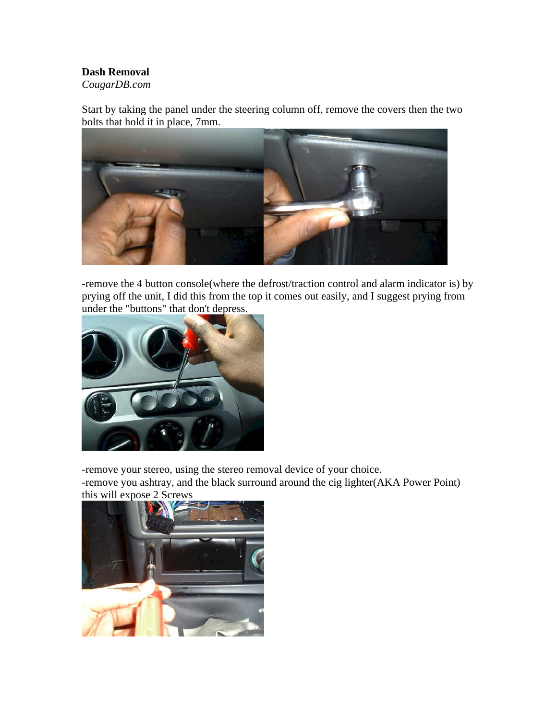## **Dash Removal**

*CougarDB.com* 

Start by taking the panel under the steering column off, remove the covers then the two bolts that hold it in place, 7mm.



-remove the 4 button console(where the defrost/traction control and alarm indicator is) by prying off the unit, I did this from the top it comes out easily, and I suggest prying from under the "buttons" that don't depress.



-remove your stereo, using the stereo removal device of your choice.

-remove you ashtray, and the black surround around the cig lighter(AKA Power Point) this will expose 2 Screws

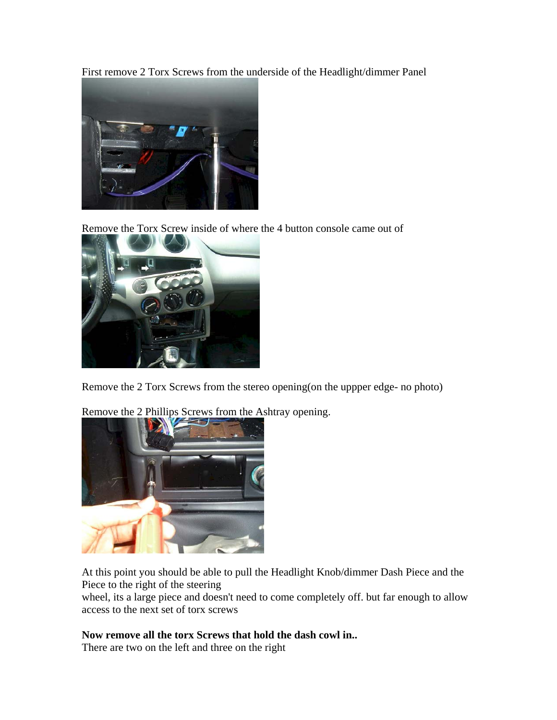First remove 2 Torx Screws from the underside of the Headlight/dimmer Panel



Remove the Torx Screw inside of where the 4 button console came out of



Remove the 2 Torx Screws from the stereo opening(on the uppper edge- no photo)



Remove the 2 Phillips Screws from the Ashtray opening.

At this point you should be able to pull the Headlight Knob/dimmer Dash Piece and the Piece to the right of the steering

wheel, its a large piece and doesn't need to come completely off. but far enough to allow access to the next set of torx screws

## **Now remove all the torx Screws that hold the dash cowl in..**

There are two on the left and three on the right